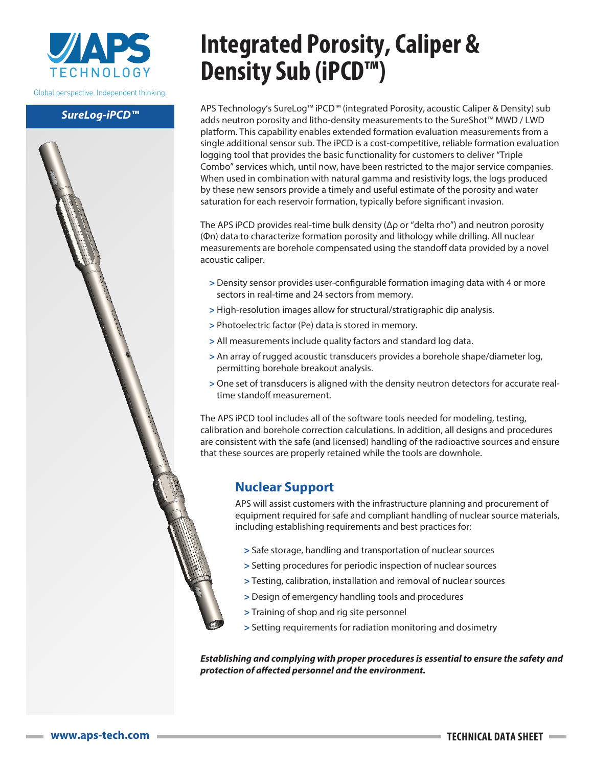

Global perspective. Independent thinking.

#### *SureLog-iPCD™*



# **Integrated Porosity, Caliper & Density Sub (iPCD™)**

APS Technology's SureLog™ iPCD™ (integrated Porosity, acoustic Caliper & Density) sub adds neutron porosity and litho-density measurements to the SureShot™ MWD / LWD platform. This capability enables extended formation evaluation measurements from a single additional sensor sub. The iPCD is a cost-competitive, reliable formation evaluation logging tool that provides the basic functionality for customers to deliver "Triple Combo" services which, until now, have been restricted to the major service companies. When used in combination with natural gamma and resistivity logs, the logs produced by these new sensors provide a timely and useful estimate of the porosity and water saturation for each reservoir formation, typically before significant invasion.

The APS iPCD provides real-time bulk density ( $\Delta \rho$  or "delta rho") and neutron porosity (Φn) data to characterize formation porosity and lithology while drilling. All nuclear measurements are borehole compensated using the standoff data provided by a novel acoustic caliper.

- **>** Density sensor provides user-configurable formation imaging data with 4 or more sectors in real-time and 24 sectors from memory.
- **>** High-resolution images allow for structural/stratigraphic dip analysis.
- **>** Photoelectric factor (Pe) data is stored in memory.
- **>** All measurements include quality factors and standard log data.
- **>** An array of rugged acoustic transducers provides a borehole shape/diameter log, permitting borehole breakout analysis.
- **>** One set of transducers is aligned with the density neutron detectors for accurate realtime standoff measurement.

The APS iPCD tool includes all of the software tools needed for modeling, testing, calibration and borehole correction calculations. In addition, all designs and procedures are consistent with the safe (and licensed) handling of the radioactive sources and ensure that these sources are properly retained while the tools are downhole.

### **Nuclear Support**

APS will assist customers with the infrastructure planning and procurement of equipment required for safe and compliant handling of nuclear source materials, including establishing requirements and best practices for:

- **>** Safe storage, handling and transportation of nuclear sources
- **>** Setting procedures for periodic inspection of nuclear sources
- **>** Testing, calibration, installation and removal of nuclear sources
- **>** Design of emergency handling tools and procedures
- **>** Training of shop and rig site personnel
- **>** Setting requirements for radiation monitoring and dosimetry

*Establishing and complying with proper procedures is essential to ensure the safety and protection of affected personnel and the environment.*